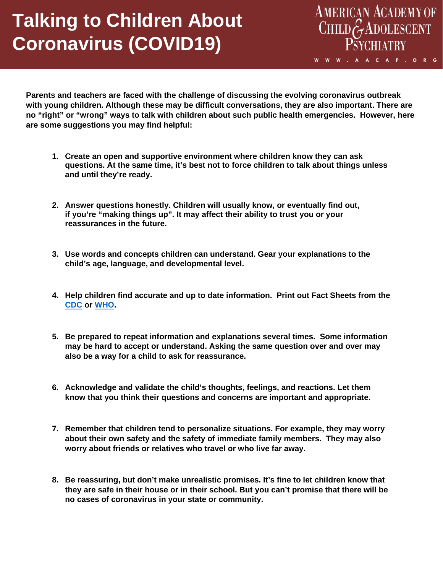## **Talking to Children About Coronavirus (COVID19)**

**Parents and teachers are faced with the challenge of discussing the evolving coronavirus outbreak with young children. Although these may be difficult conversations, they are also important. There are no "right" or "wrong" ways to talk with children about such public health emergencies. However, here are some suggestions you may find helpful:**

AMERICAN ACADEMY OF<br>CHILD GADOLESCENT

**PSYCHIATRY** 

W W W . A A C A P . O R G

- **1. Create an open and supportive environment where children know they can ask questions. At the same time, it's best not to force children to talk about things unless and until they're ready.**
- **2. Answer questions honestly. Children will usually know, or eventually find out, if you're "making things up". It may affect their ability to trust you or your reassurances in the future.**
- **3. Use words and concepts children can understand. Gear your explanations to the child's age, language, and developmental level.**
- **4. Help children find accurate and up to date information. Print out Fact Sheets from the [CDC](https://www.cdc.gov/coronavirus/2019-ncov/communication/factsheets.html) or [WHO.](https://www.who.int/emergencies/diseases/novel-coronavirus-2019/events-as-they-happen)**
- **5. Be prepared to repeat information and explanations several times. Some information may be hard to accept or understand. Asking the same question over and over may also be a way for a child to ask for reassurance.**
- **6. Acknowledge and validate the child's thoughts, feelings, and reactions. Let them know that you think their questions and concerns are important and appropriate.**
- **7. Remember that children tend to personalize situations. For example, they may worry about their own safety and the safety of immediate family members. They may also worry about friends or relatives who travel or who live far away.**
- **8. Be reassuring, but don't make unrealistic promises. It's fine to let children know that they are safe in their house or in their school. But you can't promise that there will be no cases of coronavirus in your state or community.**